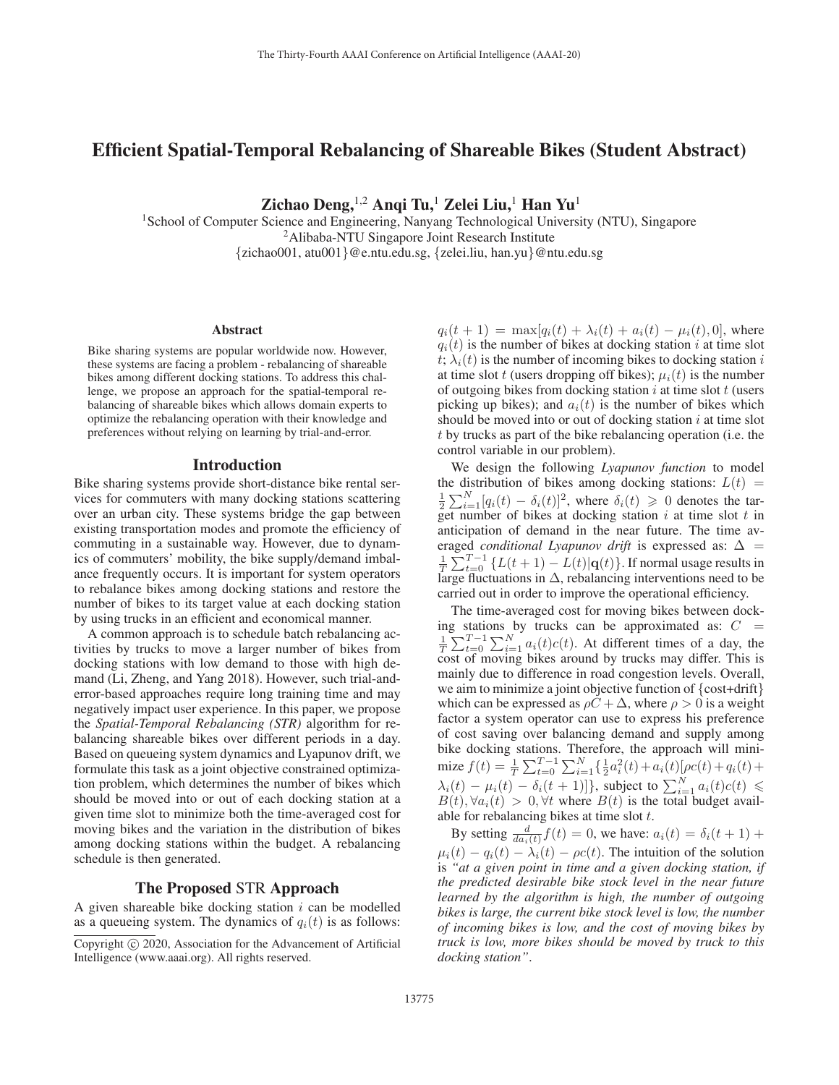# Efficient Spatial-Temporal Rebalancing of Shareable Bikes (Student Abstract)

Zichao Deng,  $^{1,2}$  Angi Tu,<sup>1</sup> Zelei Liu,<sup>1</sup> Han Yu<sup>1</sup>

<sup>1</sup>School of Computer Science and Engineering, Nanyang Technological University (NTU), Singapore 2Alibaba-NTU Singapore Joint Research Institute {zichao001, atu001}@e.ntu.edu.sg, {zelei.liu, han.yu}@ntu.edu.sg

#### Abstract

Bike sharing systems are popular worldwide now. However, these systems are facing a problem - rebalancing of shareable bikes among different docking stations. To address this challenge, we propose an approach for the spatial-temporal rebalancing of shareable bikes which allows domain experts to optimize the rebalancing operation with their knowledge and preferences without relying on learning by trial-and-error.

#### Introduction

Bike sharing systems provide short-distance bike rental services for commuters with many docking stations scattering over an urban city. These systems bridge the gap between existing transportation modes and promote the efficiency of commuting in a sustainable way. However, due to dynamics of commuters' mobility, the bike supply/demand imbalance frequently occurs. It is important for system operators to rebalance bikes among docking stations and restore the number of bikes to its target value at each docking station by using trucks in an efficient and economical manner.

A common approach is to schedule batch rebalancing activities by trucks to move a larger number of bikes from docking stations with low demand to those with high demand (Li, Zheng, and Yang 2018). However, such trial-anderror-based approaches require long training time and may negatively impact user experience. In this paper, we propose the *Spatial-Temporal Rebalancing (STR)* algorithm for rebalancing shareable bikes over different periods in a day. Based on queueing system dynamics and Lyapunov drift, we formulate this task as a joint objective constrained optimization problem, which determines the number of bikes which should be moved into or out of each docking station at a given time slot to minimize both the time-averaged cost for moving bikes and the variation in the distribution of bikes among docking stations within the budget. A rebalancing schedule is then generated.

## The Proposed STR Approach

A given shareable bike docking station  $i$  can be modelled as a queueing system. The dynamics of  $q_i(t)$  is as follows:

 $q_i(t + 1) = \max[q_i(t) + \lambda_i(t) + a_i(t) - \mu_i(t), 0]$ , where  $q_i(t)$  is the number of bikes at docking station i at time slot  $t$ ;  $\lambda_i(t)$  is the number of incoming bikes to docking station i at time slot t (users dropping off bikes);  $\mu_i(t)$  is the number of outgoing bikes from docking station  $i$  at time slot  $t$  (users picking up bikes); and  $a_i(t)$  is the number of bikes which should be moved into or out of docking station  $i$  at time slot t by trucks as part of the bike rebalancing operation (i.e. the control variable in our problem).

We design the following *Lyapunov function* to model the distribution of bikes among docking stations:  $L(t)$  =  $\frac{1}{2}\sum_{i=1}^{N}[q_i(t) - \delta_i(t)]^2$ , where  $\delta_i(t) \geq 0$  denotes the tar-<br>get number of bikes at docking station *i* at time slot *t* in get number of bikes at docking station i at time slot t in anticipation of demand in the near future. The time averaged *conditional Lyapunov drift* is expressed as:  $\Delta$  =  $\frac{1}{T} \sum_{t=0}^{T-1} \{ L(t+1) - L(t) | \mathbf{q}(t) \}.$  If normal usage results in large fluctuations in  $\Delta$ , rebalancing interventions need to be carried out in order to improve the operational efficiency.

The time-averaged cost for moving bikes between docking stations by trucks can be approximated as:  $C =$  $\frac{1}{T} \sum_{t=0}^{T-1} \sum_{i=1}^{N} a_i(t)c(t)$ . At different times of a day, the cost of moving bikes around by trucks may differ This is cost of moving bikes around by trucks may differ. This is mainly due to difference in road congestion levels. Overall, we aim to minimize a joint objective function of {cost+drift} which can be expressed as  $\rho C + \Delta$ , where  $\rho > 0$  is a weight factor a system operator can use to express his preference of cost saving over balancing demand and supply among bike docking stations. Therefore, the approach will minimize  $f(t) = \frac{1}{T} \sum_{t=0}^{T-1} \sum_{i=1}^{N} \left\{ \frac{1}{2} a_i^2(t) + a_i(t) [\rho c(t) + q_i(t) +$  $\lambda_i(t) - \mu_i(t) - \delta_i(t+1)$ , subject to  $\sum_{i=1}^N a_i(t)c(t) \le$ <br>  $B(t)$   $\forall a_i(t) > 0$   $\forall t$  where  $B(t)$  is the total budget avail- $B(t), \forall a_i(t) > 0, \forall t$  where  $B(t)$  is the total budget available for repalancing bikes at time slot t able for rebalancing bikes at time slot  $t$ .

By setting  $\frac{d}{da_i(t)}f(t)=0$ , we have:  $a_i(t) = \delta_i(t + 1) +$  $\mu_i(t) - q_i(t) - \lambda_i(t) - \rho c(t)$ . The intuition of the solution is *"at a given point in time and a given docking station, if the predicted desirable bike stock level in the near future learned by the algorithm is high, the number of outgoing bikes is large, the current bike stock level is low, the number of incoming bikes is low, and the cost of moving bikes by truck is low, more bikes should be moved by truck to this docking station"*.

Copyright  $\odot$  2020, Association for the Advancement of Artificial Intelligence (www.aaai.org). All rights reserved.